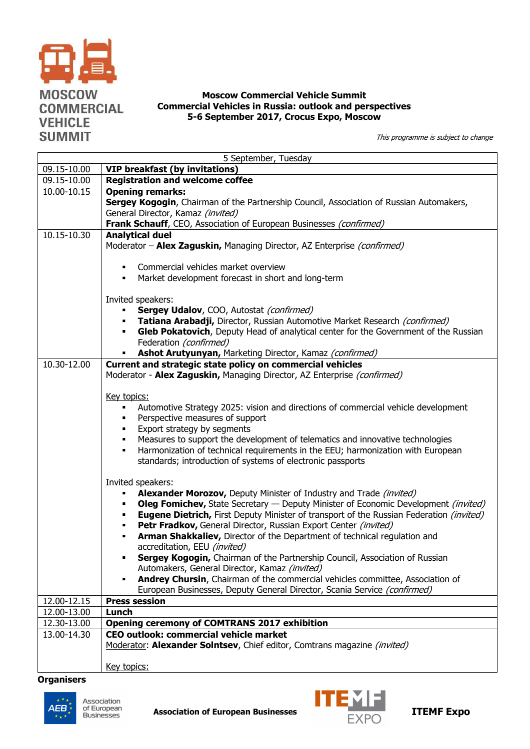

## **Moscow Commercial Vehicle Summit Commercial Vehicles in Russia: outlook and perspectives 5-6 September 2017, Crocus Expo, Moscow**

This programme is subject to change

| 5 September, Tuesday       |                                                                                                                                                                             |  |
|----------------------------|-----------------------------------------------------------------------------------------------------------------------------------------------------------------------------|--|
| 09.15-10.00                | <b>VIP breakfast (by invitations)</b>                                                                                                                                       |  |
| 09.15-10.00                | <b>Registration and welcome coffee</b>                                                                                                                                      |  |
| 10.00-10.15                | <b>Opening remarks:</b>                                                                                                                                                     |  |
|                            | Sergey Kogogin, Chairman of the Partnership Council, Association of Russian Automakers,                                                                                     |  |
|                            | General Director, Kamaz (invited)<br>Frank Schauff, CEO, Association of European Businesses (confirmed)                                                                     |  |
| 10.15-10.30                | <b>Analytical duel</b>                                                                                                                                                      |  |
|                            | Moderator - Alex Zaguskin, Managing Director, AZ Enterprise (confirmed)                                                                                                     |  |
|                            | Commercial vehicles market overview                                                                                                                                         |  |
|                            | Market development forecast in short and long-term<br>٠                                                                                                                     |  |
|                            |                                                                                                                                                                             |  |
|                            | Invited speakers:                                                                                                                                                           |  |
|                            | Sergey Udalov, COO, Autostat (confirmed)<br>Tatiana Arabadji, Director, Russian Automotive Market Research (confirmed)                                                      |  |
|                            | Gleb Pokatovich, Deputy Head of analytical center for the Government of the Russian                                                                                         |  |
|                            | Federation (confirmed)                                                                                                                                                      |  |
|                            | Ashot Arutyunyan, Marketing Director, Kamaz (confirmed)                                                                                                                     |  |
| 10.30-12.00                | Current and strategic state policy on commercial vehicles                                                                                                                   |  |
|                            | Moderator - Alex Zaguskin, Managing Director, AZ Enterprise (confirmed)                                                                                                     |  |
|                            |                                                                                                                                                                             |  |
|                            | Key topics:                                                                                                                                                                 |  |
|                            | Automotive Strategy 2025: vision and directions of commercial vehicle development<br>٠                                                                                      |  |
|                            | Perspective measures of support<br>٠<br>Export strategy by segments<br>٠                                                                                                    |  |
|                            | Measures to support the development of telematics and innovative technologies<br>٠                                                                                          |  |
|                            | Harmonization of technical requirements in the EEU; harmonization with European<br>٠                                                                                        |  |
|                            | standards; introduction of systems of electronic passports                                                                                                                  |  |
|                            |                                                                                                                                                                             |  |
|                            | Invited speakers:                                                                                                                                                           |  |
|                            | Alexander Morozov, Deputy Minister of Industry and Trade (invited)                                                                                                          |  |
|                            | <b>Oleg Fomichev, State Secretary - Deputy Minister of Economic Development (invited)</b><br>٠                                                                              |  |
|                            | <b>Eugene Dietrich, First Deputy Minister of transport of the Russian Federation (invited)</b><br>٠<br>Petr Fradkov, General Director, Russian Export Center (invited)<br>٠ |  |
|                            | Arman Shakkaliev, Director of the Department of technical regulation and<br>٠                                                                                               |  |
|                            | accreditation, EEU (invited)                                                                                                                                                |  |
|                            | Sergey Kogogin, Chairman of the Partnership Council, Association of Russian                                                                                                 |  |
|                            | Automakers, General Director, Kamaz (invited)                                                                                                                               |  |
|                            | Andrey Chursin, Chairman of the commercial vehicles committee, Association of                                                                                               |  |
|                            | European Businesses, Deputy General Director, Scania Service (confirmed)                                                                                                    |  |
| 12.00-12.15                | <b>Press session</b>                                                                                                                                                        |  |
| 12.00-13.00                | Lunch                                                                                                                                                                       |  |
| 12.30-13.00<br>13.00-14.30 | <b>Opening ceremony of COMTRANS 2017 exhibition</b><br>CEO outlook: commercial vehicle market                                                                               |  |
|                            | Moderator: Alexander Solntsev, Chief editor, Comtrans magazine (invited)                                                                                                    |  |
|                            |                                                                                                                                                                             |  |
|                            | Key topics:                                                                                                                                                                 |  |

## **Organisers**



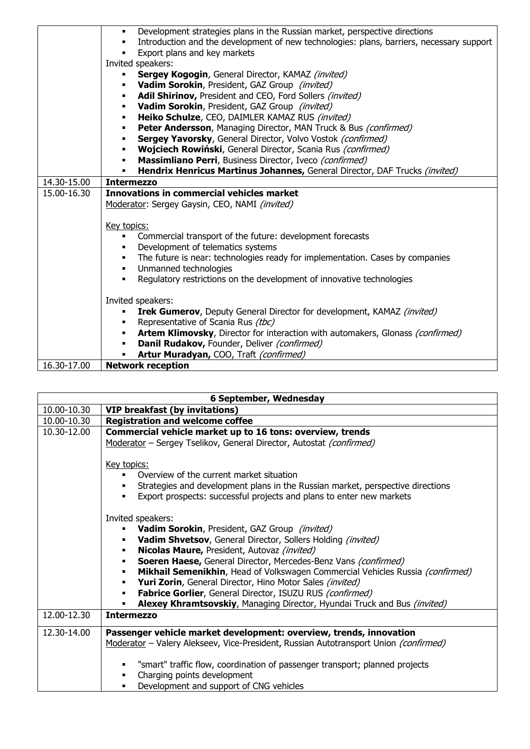|             | Development strategies plans in the Russian market, perspective directions<br>٠                            |
|-------------|------------------------------------------------------------------------------------------------------------|
|             | Introduction and the development of new technologies: plans, barriers, necessary support<br>$\blacksquare$ |
|             | Export plans and key markets<br>$\blacksquare$                                                             |
|             | Invited speakers:                                                                                          |
|             | <b>Sergey Kogogin, General Director, KAMAZ (invited)</b>                                                   |
|             | Vadim Sorokin, President, GAZ Group (invited)<br>٠                                                         |
|             | Adil Shirinov, President and CEO, Ford Sollers (invited)<br>$\blacksquare$                                 |
|             | Vadim Sorokin, President, GAZ Group (invited)<br>٠                                                         |
|             | Heiko Schulze, CEO, DAIMLER KAMAZ RUS (invited)<br>٠                                                       |
|             | Peter Andersson, Managing Director, MAN Truck & Bus (confirmed)<br>٠                                       |
|             | Sergey Yavorsky, General Director, Volvo Vostok (confirmed)<br>٠                                           |
|             | Wojciech Rowiński, General Director, Scania Rus (confirmed)                                                |
|             | Massimliano Perri, Business Director, Iveco (confirmed)                                                    |
|             | Hendrix Henricus Martinus Johannes, General Director, DAF Trucks (invited)<br>٠                            |
| 14.30-15.00 | <b>Intermezzo</b>                                                                                          |
| 15.00-16.30 | Innovations in commercial vehicles market                                                                  |
|             | Moderator: Sergey Gaysin, CEO, NAMI (invited)                                                              |
|             |                                                                                                            |
|             | Key topics:                                                                                                |
|             | Commercial transport of the future: development forecasts<br>$\blacksquare$                                |
|             | Development of telematics systems<br>٠                                                                     |
|             | The future is near: technologies ready for implementation. Cases by companies<br>٠                         |
|             | Unmanned technologies<br>$\blacksquare$                                                                    |
|             | Regulatory restrictions on the development of innovative technologies                                      |
|             |                                                                                                            |
|             | Invited speakers:                                                                                          |
|             | <b>Irek Gumerov</b> , Deputy General Director for development, KAMAZ (invited)                             |
|             | Representative of Scania Rus (tbc)<br>٠                                                                    |
|             | Artem Klimovsky, Director for interaction with automakers, Glonass (confirmed)<br>$\blacksquare$           |
|             | Danil Rudakov, Founder, Deliver (confirmed)                                                                |
|             | Artur Muradyan, COO, Traft (confirmed)                                                                     |
| 16.30-17.00 | <b>Network reception</b>                                                                                   |

| 6 September, Wednesday |                                                                                                                                                                                                                                                 |  |
|------------------------|-------------------------------------------------------------------------------------------------------------------------------------------------------------------------------------------------------------------------------------------------|--|
| 10.00-10.30            | <b>VIP breakfast (by invitations)</b>                                                                                                                                                                                                           |  |
| 10.00-10.30            | <b>Registration and welcome coffee</b>                                                                                                                                                                                                          |  |
| 10.30-12.00            | Commercial vehicle market up to 16 tons: overview, trends                                                                                                                                                                                       |  |
|                        | Moderator - Sergey Tselikov, General Director, Autostat (confirmed)                                                                                                                                                                             |  |
|                        | <u>Key topics:</u><br>Overview of the current market situation<br>٠<br>Strategies and development plans in the Russian market, perspective directions<br>Export prospects: successful projects and plans to enter new markets<br>$\blacksquare$ |  |
|                        | Invited speakers:                                                                                                                                                                                                                               |  |
|                        | Vadim Sorokin, President, GAZ Group (invited)<br>$\blacksquare$                                                                                                                                                                                 |  |
|                        | Vadim Shvetsov, General Director, Sollers Holding (invited)                                                                                                                                                                                     |  |
|                        | Nicolas Maure, President, Autovaz (invited)                                                                                                                                                                                                     |  |
|                        | Soeren Haese, General Director, Mercedes-Benz Vans (confirmed)<br>٠<br>Mikhail Semenikhin, Head of Volkswagen Commercial Vehicles Russia (confirmed)<br>٠                                                                                       |  |
|                        | Yuri Zorin, General Director, Hino Motor Sales (invited)<br>٠                                                                                                                                                                                   |  |
|                        | Fabrice Gorlier, General Director, ISUZU RUS (confirmed)<br>$\blacksquare$                                                                                                                                                                      |  |
|                        | Alexey Khramtsovskiy, Managing Director, Hyundai Truck and Bus (invited)<br>$\blacksquare$                                                                                                                                                      |  |
| 12.00-12.30            | <b>Intermezzo</b>                                                                                                                                                                                                                               |  |
| 12.30-14.00            | Passenger vehicle market development: overview, trends, innovation                                                                                                                                                                              |  |
|                        | Moderator - Valery Alekseev, Vice-President, Russian Autotransport Union (confirmed)                                                                                                                                                            |  |
|                        | "smart" traffic flow, coordination of passenger transport; planned projects<br>٠<br>Charging points development<br>٠                                                                                                                            |  |
|                        | Development and support of CNG vehicles                                                                                                                                                                                                         |  |